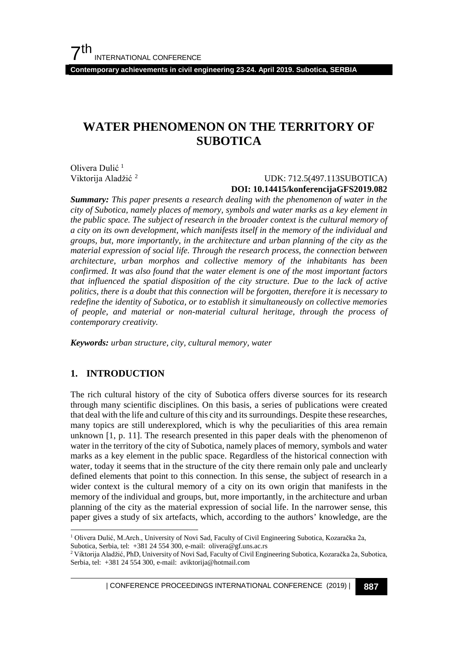**Contemporary achievements in civil engineering 23-24. April 2019. Subotica, SERBIA**

## **WATER PHENOMENON ON THE TERRITORY OF SUBOTICA**

Olivera Dulić [1](#page-0-0) Viktorija Aladžić [2](#page-0-1)

 UDK: 712.5(497.113SUBOTICA) **DOI: 10.14415/konferencijaGFS2019.082**

*Summary: This paper presents a research dealing with the phenomenon of water in the city of Subotica, namely places of memory, symbols and water marks as a key element in the public space. The subject of research in the broader context is the cultural memory of a city on its own development, which manifests itself in the memory of the individual and groups, but, more importantly, in the architecture and urban planning of the city as the material expression of social life. Through the research process, the connection between architecture, urban morphos and collective memory of the inhabitants has been confirmed. It was also found that the water element is one of the most important factors that influenced the spatial disposition of the city structure. Due to the lack of active politics, there is a doubt that this connection will be forgotten, therefore it is necessary to redefine the identity of Subotica, or to establish it simultaneously on collective memories of people, and material or non-material cultural heritage, through the process of contemporary creativity.*

*Keywords: urban structure, city, cultural memory, water*

#### **1. INTRODUCTION**

The rich cultural history of the city of Subotica offers diverse sources for its research through many scientific disciplines. On this basis, a series of publications were created that deal with the life and culture of this city and its surroundings. Despite these researches, many topics are still underexplored, which is why the peculiarities of this area remain unknown [1, p. 11]. The research presented in this paper deals with the phenomenon of water in the territory of the city of Subotica, namely places of memory, symbols and water marks as a key element in the public space. Regardless of the historical connection with water, today it seems that in the structure of the city there remain only pale and unclearly defined elements that point to this connection. In this sense, the subject of research in a wider context is the cultural memory of a city on its own origin that manifests in the memory of the individual and groups, but, more importantly, in the architecture and urban planning of the city as the material expression of social life. In the narrower sense, this paper gives a study of six artefacts, which, according to the authors' knowledge, are the

<span id="page-0-0"></span><sup>&</sup>lt;sup>1</sup> Olivera Dulić, M.Arch., University of Novi Sad, Faculty of Civil Engineering Subotica, Kozaračka 2a, Subotica, Serbia, tel: +381 24 554 300, e-mail: olivera@gf.uns.ac.rs

<span id="page-0-1"></span><sup>2</sup> Viktorija Aladžić, PhD, University of Novi Sad, Faculty of Civil Engineering Subotica, Kozaračka 2a, Subotica, Serbia, tel: +381 24 554 300, e-mail: aviktorija@hotmail.com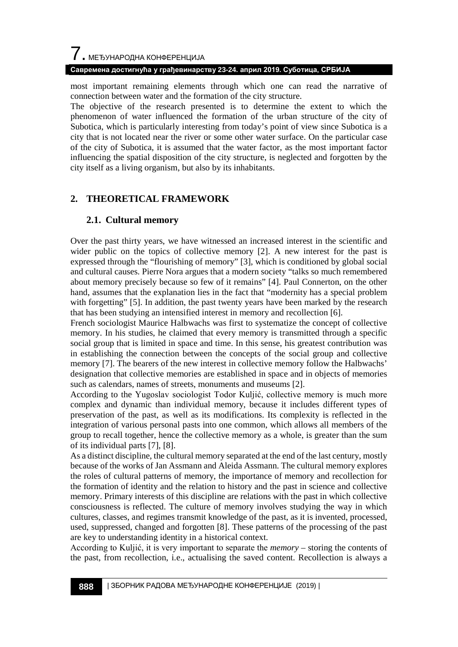# $\overline{\phantom{a}}$ . МЕЂУНАРОДНА КОНФЕРЕНЦИЈА

#### **Савремена достигнућа у грађевинарству 23-24. април 2019. Суботица, СРБИЈА**

most important remaining elements through which one can read the narrative of connection between water and the formation of the city structure.

The objective of the research presented is to determine the extent to which the phenomenon of water influenced the formation of the urban structure of the city of Subotica, which is particularly interesting from today's point of view since Subotica is a city that is not located near the river or some other water surface. On the particular case of the city of Subotica, it is assumed that the water factor, as the most important factor influencing the spatial disposition of the city structure, is neglected and forgotten by the city itself as a living organism, but also by its inhabitants.

## **2. THEORETICAL FRAMEWORK**

## **2.1. Cultural memory**

Over the past thirty years, we have witnessed an increased interest in the scientific and wider public on the topics of collective memory [2]. A new interest for the past is expressed through the "flourishing of memory" [3], which is conditioned by global social and cultural causes. Pierre Nora argues that a modern society "talks so much remembered about memory precisely because so few of it remains" [4]. Paul Connerton, on the other hand, assumes that the explanation lies in the fact that "modernity has a special problem with forgetting" [5]. In addition, the past twenty years have been marked by the research that has been studying an intensified interest in memory and recollection [6].

French sociologist Maurice Halbwachs was first to systematize the concept of collective memory. In his studies, he claimed that every memory is transmitted through a specific social group that is limited in space and time. In this sense, his greatest contribution was in establishing the connection between the concepts of the social group and collective memory [7]. The bearers of the new interest in collective memory follow the Halbwachs' designation that collective memories are established in space and in objects of memories such as calendars, names of streets, monuments and museums [2].

According to the Yugoslav sociologist Todor Kuljić, collective memory is much more complex and dynamic than individual memory, because it includes different types of preservation of the past, as well as its modifications. Its complexity is reflected in the integration of various personal pasts into one common, which allows all members of the group to recall together, hence the collective memory as a whole, is greater than the sum of its individual parts [7], [8].

As a distinct discipline, the cultural memory separated at the end of the last century, mostly because of the works of Jan Assmann and Aleida Assmann. The cultural memory explores the roles of cultural patterns of memory, the importance of memory and recollection for the formation of identity and the relation to history and the past in science and collective memory. Primary interests of this discipline are relations with the past in which collective consciousness is reflected. The culture of memory involves studying the way in which cultures, classes, and regimes transmit knowledge of the past, as it is invented, processed, used, suppressed, changed and forgotten [8]. These patterns of the processing of the past are key to understanding identity in a historical context.

According to Kuljić, it is very important to separate the *memory* – storing the contents of the past, from recollection, i.e., actualising the saved content. Recollection is always a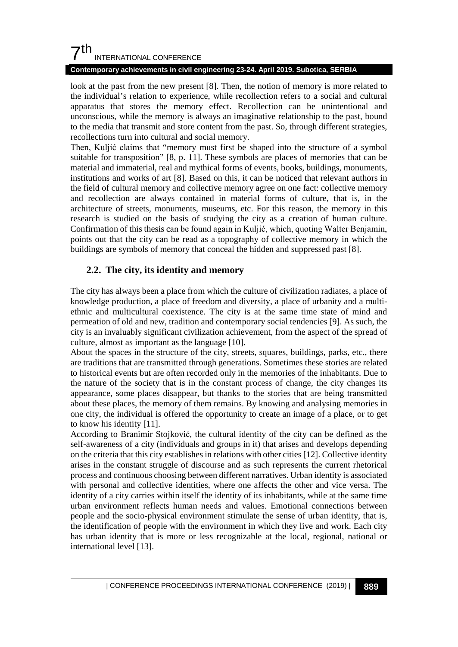#### **Contemporary achievements in civil engineering 23-24. April 2019. Subotica, SERBIA**

look at the past from the new present [8]. Then, the notion of memory is more related to the individual's relation to experience, while recollection refers to a social and cultural apparatus that stores the memory effect. Recollection can be unintentional and unconscious, while the memory is always an imaginative relationship to the past, bound to the media that transmit and store content from the past. So, through different strategies, recollections turn into cultural and social memory.

Then, Kuljić claims that "memory must first be shaped into the structure of a symbol suitable for transposition" [8, p. 11]. These symbols are places of memories that can be material and immaterial, real and mythical forms of events, books, buildings, monuments, institutions and works of art [8]. Based on this, it can be noticed that relevant authors in the field of cultural memory and collective memory agree on one fact: collective memory and recollection are always contained in material forms of culture, that is, in the architecture of streets, monuments, museums, etc. For this reason, the memory in this research is studied on the basis of studying the city as a creation of human culture. Confirmation of this thesis can be found again in Kuljić, which, quoting Walter Benjamin, points out that the city can be read as a topography of collective memory in which the buildings are symbols of memory that conceal the hidden and suppressed past [8].

## **2.2. The city, its identity and memory**

The city has always been a place from which the culture of civilization radiates, a place of knowledge production, a place of freedom and diversity, a place of urbanity and a multiethnic and multicultural coexistence. The city is at the same time state of mind and permeation of old and new, tradition and contemporary social tendencies [9]. As such, the city is an invaluably significant civilization achievement, from the aspect of the spread of culture, almost as important as the language [10].

About the spaces in the structure of the city, streets, squares, buildings, parks, etc., there are traditions that are transmitted through generations. Sometimes these stories are related to historical events but are often recorded only in the memories of the inhabitants. Due to the nature of the society that is in the constant process of change, the city changes its appearance, some places disappear, but thanks to the stories that are being transmitted about these places, the memory of them remains. By knowing and analysing memories in one city, the individual is offered the opportunity to create an image of a place, or to get to know his identity [11].

According to Branimir Stojković, the cultural identity of the city can be defined as the self-awareness of a city (individuals and groups in it) that arises and develops depending on the criteria that this city establishes in relations with other cities [12]. Collective identity arises in the constant struggle of discourse and as such represents the current rhetorical process and continuous choosing between different narratives. Urban identity is associated with personal and collective identities, where one affects the other and vice versa. The identity of a city carries within itself the identity of its inhabitants, while at the same time urban environment reflects human needs and values. Emotional connections between people and the socio-physical environment stimulate the sense of urban identity, that is, the identification of people with the environment in which they live and work. Each city has urban identity that is more or less recognizable at the local, regional, national or international level [13].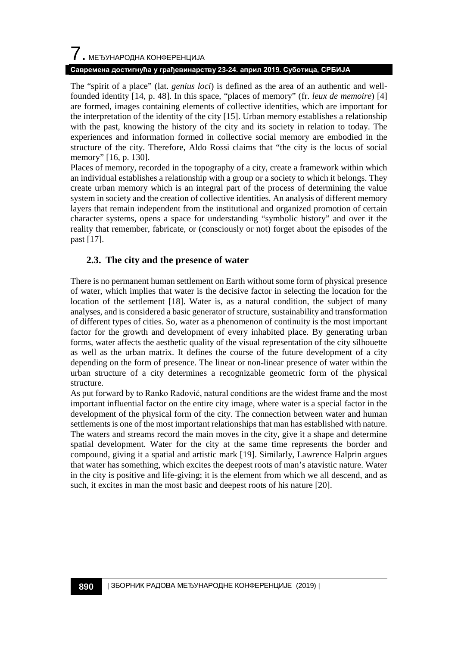# $\overline{\phantom{a}}$ . МЕЂУНАРОДНА КОНФЕРЕНЦИЈА

#### **Савремена достигнућа у грађевинарству 23-24. април 2019. Суботица, СРБИЈА**

The "spirit of a place" (lat. *genius loci*) is defined as the area of an authentic and wellfounded identity [14, p. 48]. In this space, "places of memory" (fr. *leux de memoire*) [4] are formed, images containing elements of collective identities, which are important for the interpretation of the identity of the city [15]. Urban memory establishes a relationship with the past, knowing the history of the city and its society in relation to today. The experiences and information formed in collective social memory are embodied in the structure of the city. Therefore, Aldo Rossi claims that "the city is the locus of social memory" [16, p. 130].

Places of memory, recorded in the topography of a city, create a framework within which an individual establishes a relationship with a group or a society to which it belongs. They create urban memory which is an integral part of the process of determining the value system in society and the creation of collective identities. An analysis of different memory layers that remain independent from the institutional and organized promotion of certain character systems, opens a space for understanding "symbolic history" and over it the reality that remember, fabricate, or (consciously or not) forget about the episodes of the past [17].

### **2.3. The city and the presence of water**

There is no permanent human settlement on Earth without some form of physical presence of water, which implies that water is the decisive factor in selecting the location for the location of the settlement [18]. Water is, as a natural condition, the subject of many analyses, and is considered a basic generator of structure, sustainability and transformation of different types of cities. So, water as a phenomenon of continuity is the most important factor for the growth and development of every inhabited place. By generating urban forms, water affects the aesthetic quality of the visual representation of the city silhouette as well as the urban matrix. It defines the course of the future development of a city depending on the form of presence. The linear or non-linear presence of water within the urban structure of a city determines a recognizable geometric form of the physical structure.

As put forward by to Ranko Radović, natural conditions are the widest frame and the most important influential factor on the entire city image, where water is a special factor in the development of the physical form of the city. The connection between water and human settlements is one of the most important relationships that man has established with nature. The waters and streams record the main moves in the city, give it a shape and determine spatial development. Water for the city at the same time represents the border and compound, giving it a spatial and artistic mark [19]. Similarly, Lawrence Halprin argues that water has something, which excites the deepest roots of man's atavistic nature. Water in the city is positive and life-giving; it is the element from which we all descend, and as such, it excites in man the most basic and deepest roots of his nature [20].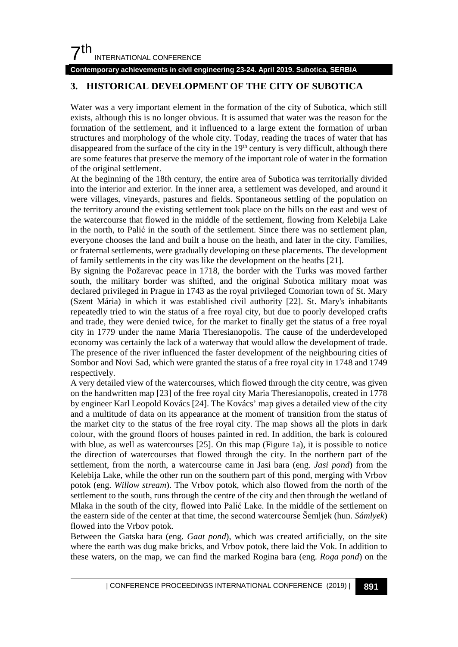#### **Contemporary achievements in civil engineering 23-24. April 2019. Subotica, SERBIA**

## **3. HISTORICAL DEVELOPMENT OF THE CITY OF SUBOTICA**

Water was a very important element in the formation of the city of Subotica, which still exists, although this is no longer obvious. It is assumed that water was the reason for the formation of the settlement, and it influenced to a large extent the formation of urban structures and morphology of the whole city. Today, reading the traces of water that has disappeared from the surface of the city in the 19<sup>th</sup> century is very difficult, although there are some features that preserve the memory of the important role of water in the formation of the original settlement.

At the beginning of the 18th century, the entire area of Subotica was territorially divided into the interior and exterior. In the inner area, a settlement was developed, and around it were villages, vineyards, pastures and fields. Spontaneous settling of the population on the territory around the existing settlement took place on the hills on the east and west of the watercourse that flowed in the middle of the settlement, flowing from Kelebija Lake in the north, to Palić in the south of the settlement. Since there was no settlement plan, everyone chooses the land and built a house on the heath, and later in the city. Families, or fraternal settlements, were gradually developing on these placements. The development of family settlements in the city was like the development on the heaths [21].

By signing the Požarevac peace in 1718, the border with the Turks was moved farther south, the military border was shifted, and the original Subotica military moat was declared privileged in Prague in 1743 as the royal privileged Comorian town of St. Mary (Szent Mária) in which it was established civil authority [22]. St. Mary's inhabitants repeatedly tried to win the status of a free royal city, but due to poorly developed crafts and trade, they were denied twice, for the market to finally get the status of a free royal city in 1779 under the name Maria Theresianopolis. The cause of the underdeveloped economy was certainly the lack of a waterway that would allow the development of trade. The presence of the river influenced the faster development of the neighbouring cities of Sombor and Novi Sad, which were granted the status of a free royal city in 1748 and 1749 respectively.

A very detailed view of the watercourses, which flowed through the city centre, was given on the handwritten map [23] of the free royal city Maria Theresianopolis, created in 1778 by engineer Karl Leopold Kovács [24]. The Kovács' map gives a detailed view of the city and a multitude of data on its appearance at the moment of transition from the status of the market city to the status of the free royal city. The map shows all the plots in dark colour, with the ground floors of houses painted in red. In addition, the bark is coloured with blue, as well as watercourses [25]. On this map (Figure 1a), it is possible to notice the direction of watercourses that flowed through the city. In the northern part of the settlement, from the north, a watercourse came in Jasi bara (eng. *Jasi pond*) from the Kelebija Lake, while the other run on the southern part of this pond, merging with Vrbov potok (eng. *Willow stream*). The Vrbov potok, which also flowed from the north of the settlement to the south, runs through the centre of the city and then through the wetland of Mlaka in the south of the city, flowed into Palić Lake. In the middle of the settlement on the eastern side of the center at that time, the second watercourse Šemljek (hun. *Sámlyek*) flowed into the Vrbov potok.

Between the Gatska bara (eng. *Gaat pond*), which was created artificially, on the site where the earth was dug make bricks, and Vrbov potok, there laid the Vok. In addition to these waters, on the map, we can find the marked Rogina bara (eng. *Roga pond*) on the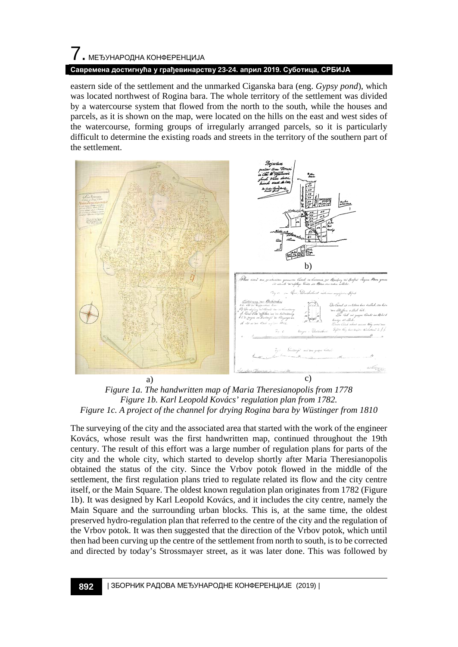## 7. МЕЂУНАРОДНА КОНФЕРЕНЦИЈА **Савремена достигнућа у грађевинарству 23-24. април 2019. Суботица, СРБИЈА**

eastern side of the settlement and the unmarked Ciganska bara (eng. *Gypsy pond*), which was located northwest of Rogina bara. The whole territory of the settlement was divided by a watercourse system that flowed from the north to the south, while the houses and parcels, as it is shown on the map, were located on the hills on the east and west sides of the watercourse, forming groups of irregularly arranged parcels, so it is particularly difficult to determine the existing roads and streets in the territory of the southern part of the settlement.



*Figure 1a. The handwritten map of Maria Theresianopolis from 1778 Figure 1b. Karl Leopold Kovács' regulation plan from 1782. Figure 1c. A project of the channel for drying Rogina bara by Wüstinger from 1810*

The surveying of the city and the associated area that started with the work of the engineer Kovács, whose result was the first handwritten map, continued throughout the 19th century. The result of this effort was a large number of regulation plans for parts of the city and the whole city, which started to develop shortly after Maria Theresianopolis obtained the status of the city. Since the Vrbov potok flowed in the middle of the settlement, the first regulation plans tried to regulate related its flow and the city centre itself, or the Main Square. The oldest known regulation plan originates from 1782 (Figure 1b). It was designed by Karl Leopold Kovács, and it includes the city centre, namely the Main Square and the surrounding urban blocks. This is, at the same time, the oldest preserved hydro-regulation plan that referred to the centre of the city and the regulation of the Vrbov potok. It was then suggested that the direction of the Vrbov potok, which until then had been curving up the centre of the settlement from north to south, is to be corrected and directed by today's Strossmayer street, as it was later done. This was followed by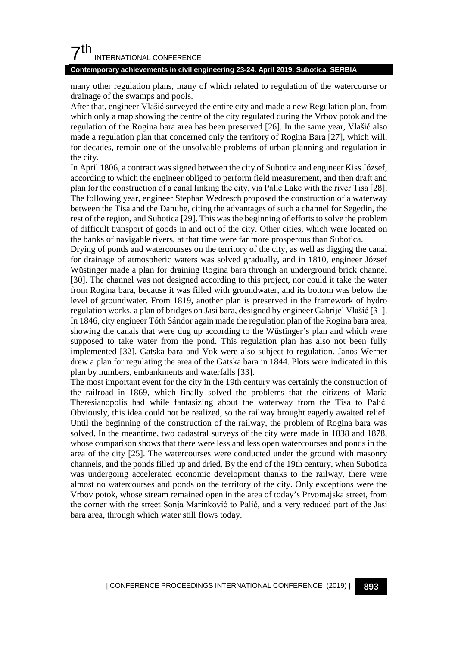#### **Contemporary achievements in civil engineering 23-24. April 2019. Subotica, SERBIA**

many other regulation plans, many of which related to regulation of the watercourse or drainage of the swamps and pools.

After that, engineer Vlašić surveyed the entire city and made a new Regulation plan, from which only a map showing the centre of the city regulated during the Vrbov potok and the regulation of the Rogina bara area has been preserved [26]. In the same year, Vlašić also made a regulation plan that concerned only the territory of Rogina Bara [27], which will, for decades, remain one of the unsolvable problems of urban planning and regulation in the city.

In April 1806, a contract was signed between the city of Subotica and engineer Kiss József, according to which the engineer obliged to perform field measurement, and then draft and plan for the construction of a canal linking the city, via Palić Lake with the river Tisa [28]. The following year, engineer Stephan Wedresch proposed the construction of a waterway between the Tisa and the Danube, citing the advantages of such a channel for Segedin, the rest of the region, and Subotica [29]. This was the beginning of efforts to solve the problem of difficult transport of goods in and out of the city. Other cities, which were located on the banks of navigable rivers, at that time were far more prosperous than Subotica.

Drying of ponds and watercourses on the territory of the city, as well as digging the canal for drainage of atmospheric waters was solved gradually, and in 1810, engineer József Wüstinger made a plan for draining Rogina bara through an underground brick channel [30]. The channel was not designed according to this project, nor could it take the water from Rogina bara, because it was filled with groundwater, and its bottom was below the level of groundwater. From 1819, another plan is preserved in the framework of hydro regulation works, a plan of bridges on Jasi bara, designed by engineer Gabrijel Vlašić [31]. In 1846, city engineer Tóth Sándor again made the regulation plan of the Rogina bara area, showing the canals that were dug up according to the Wüstinger's plan and which were supposed to take water from the pond. This regulation plan has also not been fully implemented [32]. Gatska bara and Vok were also subject to regulation. Janos Werner drew a plan for regulating the area of the Gatska bara in 1844. Plots were indicated in this plan by numbers, embankments and waterfalls [33].

The most important event for the city in the 19th century was certainly the construction of the railroad in 1869, which finally solved the problems that the citizens of Maria Theresianopolis had while fantasizing about the waterway from the Tisa to Palić. Obviously, this idea could not be realized, so the railway brought eagerly awaited relief. Until the beginning of the construction of the railway, the problem of Rogina bara was solved. In the meantime, two cadastral surveys of the city were made in 1838 and 1878, whose comparison shows that there were less and less open watercourses and ponds in the area of the city [25]. The watercourses were conducted under the ground with masonry channels, and the ponds filled up and dried. By the end of the 19th century, when Subotica was undergoing accelerated economic development thanks to the railway, there were almost no watercourses and ponds on the territory of the city. Only exceptions were the Vrbov potok, whose stream remained open in the area of today's Prvomajska street, from the corner with the street Sonja Marinković to Palić, and a very reduced part of the Jasi bara area, through which water still flows today.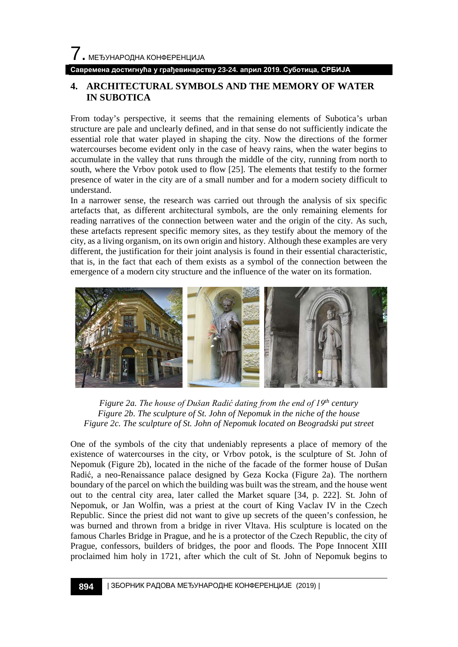#### **Савремена достигнућа у грађевинарству 23-24. април 2019. Суботица, СРБИЈА**

### **4. ARCHITECTURAL SYMBOLS AND THE MEMORY OF WATER IN SUBOTICA**

From today's perspective, it seems that the remaining elements of Subotica's urban structure are pale and unclearly defined, and in that sense do not sufficiently indicate the essential role that water played in shaping the city. Now the directions of the former watercourses become evident only in the case of heavy rains, when the water begins to accumulate in the valley that runs through the middle of the city, running from north to south, where the Vrbov potok used to flow [25]. The elements that testify to the former presence of water in the city are of a small number and for a modern society difficult to understand.

In a narrower sense, the research was carried out through the analysis of six specific artefacts that, as different architectural symbols, are the only remaining elements for reading narratives of the connection between water and the origin of the city. As such, these artefacts represent specific memory sites, as they testify about the memory of the city, as a living organism, on its own origin and history. Although these examples are very different, the justification for their joint analysis is found in their essential characteristic, that is, in the fact that each of them exists as a symbol of the connection between the emergence of a modern city structure and the influence of the water on its formation.



*Figure 2a. The house of Dušan Radić dating from the end of 19th century Figure 2b. The sculpture of St. John of Nepomuk in the niche of the house Figure 2c. The sculpture of St. John of Nepomuk located on Beogradski put street*

One of the symbols of the city that undeniably represents a place of memory of the existence of watercourses in the city, or Vrbov potok, is the sculpture of St. John of Nepomuk (Figure 2b), located in the niche of the facade of the former house of Dušan Radić, a neo-Renaissance palace designed by Geza Kocka (Figure 2a). The northern boundary of the parcel on which the building was built was the stream, and the house went out to the central city area, later called the Market square [34, p. 222]. St. John of Nepomuk, or Jan Wolfin, was a priest at the court of King Vaclav IV in the Czech Republic. Since the priest did not want to give up secrets of the queen's confession, he was burned and thrown from a bridge in river Vltava. His sculpture is located on the famous Charles Bridge in Prague, and he is a protector of the Czech Republic, the city of Prague, confessors, builders of bridges, the poor and floods. The Pope Innocent XIII proclaimed him holy in 1721, after which the cult of St. John of Nepomuk begins to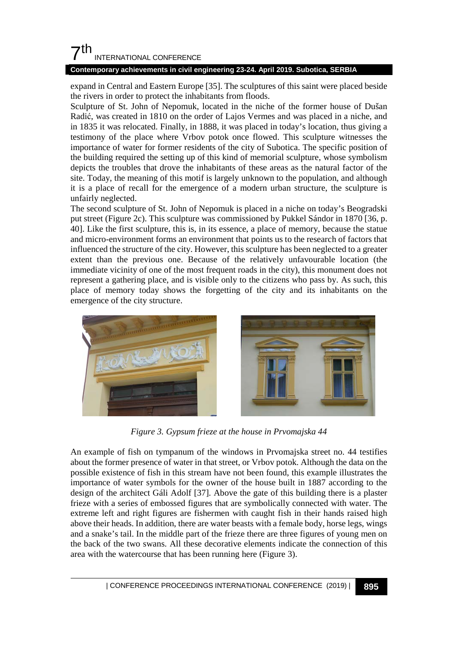#### **Contemporary achievements in civil engineering 23-24. April 2019. Subotica, SERBIA**

expand in Central and Eastern Europe [35]. The sculptures of this saint were placed beside the rivers in order to protect the inhabitants from floods.

Sculpture of St. John of Nepomuk, located in the niche of the former house of Dušan Radić, was created in 1810 on the order of Lajos Vermes and was placed in a niche, and in 1835 it was relocated. Finally, in 1888, it was placed in today's location, thus giving a testimony of the place where Vrbov potok once flowed. This sculpture witnesses the importance of water for former residents of the city of Subotica. The specific position of the building required the setting up of this kind of memorial sculpture, whose symbolism depicts the troubles that drove the inhabitants of these areas as the natural factor of the site. Today, the meaning of this motif is largely unknown to the population, and although it is a place of recall for the emergence of a modern urban structure, the sculpture is unfairly neglected.

The second sculpture of St. John of Nepomuk is placed in a niche on today's Beogradski put street (Figure 2c). This sculpture was commissioned by Pukkel Sándor in 1870 [36, p. 40]. Like the first sculpture, this is, in its essence, a place of memory, because the statue and micro-environment forms an environment that points us to the research of factors that influenced the structure of the city. However, this sculpture has been neglected to a greater extent than the previous one. Because of the relatively unfavourable location (the immediate vicinity of one of the most frequent roads in the city), this monument does not represent a gathering place, and is visible only to the citizens who pass by. As such, this place of memory today shows the forgetting of the city and its inhabitants on the emergence of the city structure.



*Figure 3. Gypsum frieze at the house in Prvomajska 44*

An example of fish on tympanum of the windows in Prvomajska street no. 44 testifies about the former presence of water in that street, or Vrbov potok. Although the data on the possible existence of fish in this stream have not been found, this example illustrates the importance of water symbols for the owner of the house built in 1887 according to the design of the architect Gáli Adolf [37]. Above the gate of this building there is a plaster frieze with a series of embossed figures that are symbolically connected with water. The extreme left and right figures are fishermen with caught fish in their hands raised high above their heads. In addition, there are water beasts with a female body, horse legs, wings and a snake's tail. In the middle part of the frieze there are three figures of young men on the back of the two swans. All these decorative elements indicate the connection of this area with the watercourse that has been running here (Figure 3).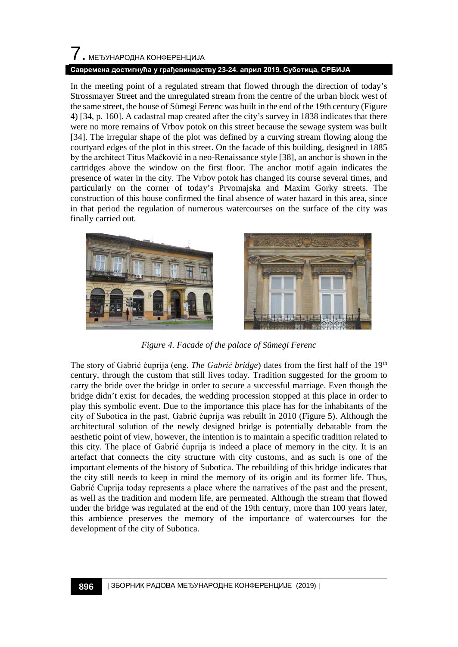# 7. МЕЂУНАРОДНА КОНФЕРЕНЦИЈА

#### **Савремена достигнућа у грађевинарству 23-24. април 2019. Суботица, СРБИЈА**

In the meeting point of a regulated stream that flowed through the direction of today's Strossmayer Street and the unregulated stream from the centre of the urban block west of the same street, the house of Sümegi Ferenc was built in the end of the 19th century (Figure 4) [34, p. 160]. A cadastral map created after the city's survey in 1838 indicates that there were no more remains of Vrbov potok on this street because the sewage system was built [34]. The irregular shape of the plot was defined by a curving stream flowing along the courtyard edges of the plot in this street. On the facade of this building, designed in 1885 by the architect Titus Mačković in a neo-Renaissance style [38], an anchor is shown in the cartridges above the window on the first floor. The anchor motif again indicates the presence of water in the city. The Vrbov potok has changed its course several times, and particularly on the corner of today's Prvomajska and Maxim Gorky streets. The construction of this house confirmed the final absence of water hazard in this area, since in that period the regulation of numerous watercourses on the surface of the city was finally carried out.



*Figure 4. Facade of the palace of Sümegi Ferenc*

The story of Gabrić ćuprija (eng. *The Gabrić bridge*) dates from the first half of the 19th century, through the custom that still lives today. Tradition suggested for the groom to carry the bride over the bridge in order to secure a successful marriage. Even though the bridge didn't exist for decades, the wedding procession stopped at this place in order to play this symbolic event. Due to the importance this place has for the inhabitants of the city of Subotica in the past, Gabrić ćuprija was rebuilt in 2010 (Figure 5). Although the architectural solution of the newly designed bridge is potentially debatable from the aesthetic point of view, however, the intention is to maintain a specific tradition related to this city. The place of Gabrić ćuprija is indeed a place of memory in the city. It is an artefact that connects the city structure with city customs, and as such is one of the important elements of the history of Subotica. The rebuilding of this bridge indicates that the city still needs to keep in mind the memory of its origin and its former life. Thus, Gabrić Cuprija today represents a place where the narratives of the past and the present, as well as the tradition and modern life, are permeated. Although the stream that flowed under the bridge was regulated at the end of the 19th century, more than 100 years later, this ambience preserves the memory of the importance of watercourses for the development of the city of Subotica.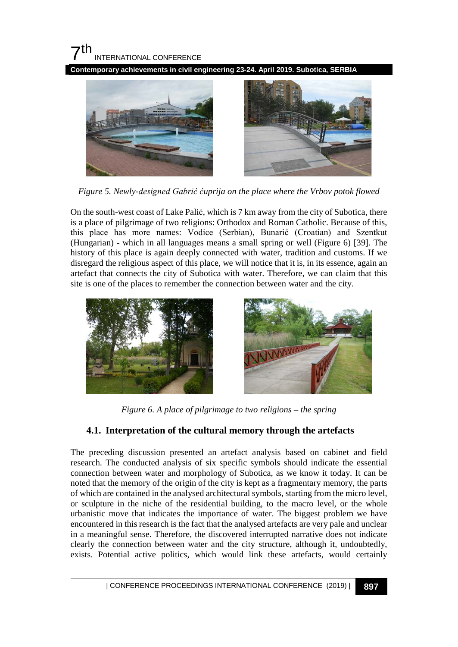**Contemporary achievements in civil engineering 23-24. April 2019. Subotica, SERBIA**



*Figure 5. Newly-designed Gabrić ćuprija on the place where the Vrbov potok flowed*

On the south-west coast of Lake Palić, which is 7 km away from the city of Subotica, there is a place of pilgrimage of two religions: Orthodox and Roman Catholic. Because of this, this place has more names: Vodice (Serbian), Bunarić (Croatian) and Szentkut (Hungarian) - which in all languages means a small spring or well (Figure 6) [39]. The history of this place is again deeply connected with water, tradition and customs. If we disregard the religious aspect of this place, we will notice that it is, in its essence, again an artefact that connects the city of Subotica with water. Therefore, we can claim that this site is one of the places to remember the connection between water and the city.





*Figure 6. A place of pilgrimage to two religions – the spring*

## **4.1. Interpretation of the cultural memory through the artefacts**

The preceding discussion presented an artefact analysis based on cabinet and field research. The conducted analysis of six specific symbols should indicate the essential connection between water and morphology of Subotica, as we know it today. It can be noted that the memory of the origin of the city is kept as a fragmentary memory, the parts of which are contained in the analysed architectural symbols, starting from the micro level, or sculpture in the niche of the residential building, to the macro level, or the whole urbanistic move that indicates the importance of water. The biggest problem we have encountered in this research is the fact that the analysed artefacts are very pale and unclear in a meaningful sense. Therefore, the discovered interrupted narrative does not indicate clearly the connection between water and the city structure, although it, undoubtedly, exists. Potential active politics, which would link these artefacts, would certainly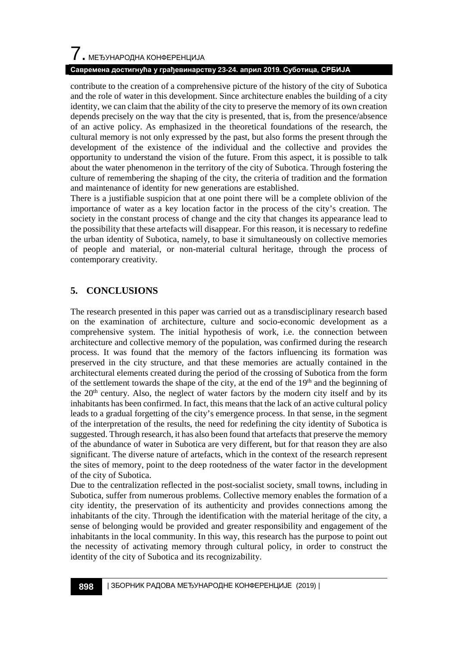#### **Савремена достигнућа у грађевинарству 23-24. април 2019. Суботица, СРБИЈА**

contribute to the creation of a comprehensive picture of the history of the city of Subotica and the role of water in this development. Since architecture enables the building of a city identity, we can claim that the ability of the city to preserve the memory of its own creation depends precisely on the way that the city is presented, that is, from the presence/absence of an active policy. As emphasized in the theoretical foundations of the research, the cultural memory is not only expressed by the past, but also forms the present through the development of the existence of the individual and the collective and provides the opportunity to understand the vision of the future. From this aspect, it is possible to talk about the water phenomenon in the territory of the city of Subotica. Through fostering the culture of remembering the shaping of the city, the criteria of tradition and the formation and maintenance of identity for new generations are established.

There is a justifiable suspicion that at one point there will be a complete oblivion of the importance of water as a key location factor in the process of the city's creation. The society in the constant process of change and the city that changes its appearance lead to the possibility that these artefacts will disappear. For this reason, it is necessary to redefine the urban identity of Subotica, namely, to base it simultaneously on collective memories of people and material, or non-material cultural heritage, through the process of contemporary creativity.

## **5. CONCLUSIONS**

The research presented in this paper was carried out as a transdisciplinary research based on the examination of architecture, culture and socio-economic development as a comprehensive system. The initial hypothesis of work, i.e. the connection between architecture and collective memory of the population, was confirmed during the research process. It was found that the memory of the factors influencing its formation was preserved in the city structure, and that these memories are actually contained in the architectural elements created during the period of the crossing of Subotica from the form of the settlement towards the shape of the city, at the end of the  $19<sup>th</sup>$  and the beginning of the  $20<sup>th</sup>$  century. Also, the neglect of water factors by the modern city itself and by its inhabitants has been confirmed. In fact, this means that the lack of an active cultural policy leads to a gradual forgetting of the city's emergence process. In that sense, in the segment of the interpretation of the results, the need for redefining the city identity of Subotica is suggested. Through research, it has also been found that artefacts that preserve the memory of the abundance of water in Subotica are very different, but for that reason they are also significant. The diverse nature of artefacts, which in the context of the research represent the sites of memory, point to the deep rootedness of the water factor in the development of the city of Subotica.

Due to the centralization reflected in the post-socialist society, small towns, including in Subotica, suffer from numerous problems. Collective memory enables the formation of a city identity, the preservation of its authenticity and provides connections among the inhabitants of the city. Through the identification with the material heritage of the city, a sense of belonging would be provided and greater responsibility and engagement of the inhabitants in the local community. In this way, this research has the purpose to point out the necessity of activating memory through cultural policy, in order to construct the identity of the city of Subotica and its recognizability.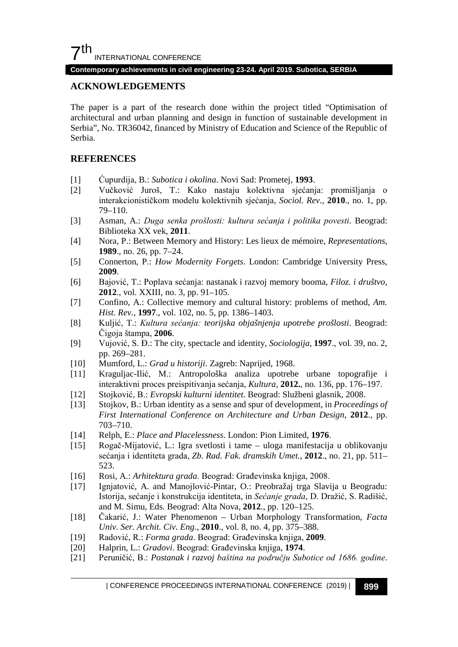#### **Contemporary achievements in civil engineering 23-24. April 2019. Subotica, SERBIA**

#### **ACKNOWLEDGEMENTS**

The paper is a part of the research done within the project titled "Optimisation of architectural and urban planning and design in function of sustainable development in Serbia", No. TR36042, financed by Ministry of Education and Science of the Republic of Serbia.

#### **REFERENCES**

- [1] Ćupurdija, B.: *Subotica i okolina*. Novi Sad: Prometej, **1993**.
- [2] Vučković Juroš, T.: Kako nastaju kolektivna sjećanja: promišljanja o interakcionističkom modelu kolektivnih sjećanja, *Sociol. Rev.*, **2010**., no. 1, pp. 79–110.
- [3] Asman, A.: *Duga senka prošlosti: kultura sećanja i politika povesti*. Beograd: Biblioteka XX vek, **2011**.
- [4] Nora, P.: Between Memory and History: Les lieux de mémoire, *Representations*, **1989**., no. 26, pp. 7–24.
- [5] Connerton, P.: *How Modernity Forgets*. London: Cambridge University Press, **2009**.
- [6] Bajović, T.: Poplava sećanja: nastanak i razvoj memory booma, *Filoz. i društvo*, **2012**., vol. XXIII, no. 3, pp. 91–105.
- [7] Confino, A.: Collective memory and cultural history: problems of method, *Am. Hist. Rev.*, **1997**., vol. 102, no. 5, pp. 1386–1403.
- [8] Kuljić, T.: *Kultura sećanja: teorijska objašnjenja upotrebe prošlosti*. Beograd: Čigoja štampa, **2006**.
- [9] Vujović, S. Đ.: The city, spectacle and identity, *Sociologija*, **1997**., vol. 39, no. 2, pp. 269–281.
- [10] Mumford, L.: *Grad u historiji*. Zagreb: Naprijed, 1968.
- [11] Kraguljac-Ilić, M.: Antropološka analiza upotrebe urbane topografije i interaktivni proces preispitivanja sećanja, *Kultura*, **2012.**, no. 136, pp. 176–197.
- [12] Stojković, B.: *Evropski kulturni identitet*. Beograd: Službeni glasnik, 2008.
- [13] Stojkov, B.: Urban identity as a sense and spur of development, in *Proceedings of First International Conference on Architecture and Urban Design*, **2012**., pp. 703–710.
- [14] Relph, E.: *Place and Placelessness*. London: Pion Limited, **1976**.
- [15] Rogač-Mijatović, L.: Igra svetlosti i tame uloga manifestacija u oblikovanju sećanja i identiteta grada, *Zb. Rad. Fak. dramskih Umet.*, **2012**., no. 21, pp. 511– 523.
- [16] Rosi, A.: *Arhitektura grada*. Beograd: Građevinska knjiga, 2008.
- [17] Ignjatović, A. and Manojlović-Pintar, O.: Preobražaj trga Slavija u Beogradu: Istorija, sećanje i konstrukcija identiteta, in *Sećanje grada*, D. Dražić, S. Radišić, and M. Simu, Eds. Beograd: Alta Nova, **2012**., pp. 120–125.
- [18] Čakarić, J.: Water Phenomenon Urban Morphology Transformation, *Facta Univ. Ser. Archit. Civ. Eng.*, **2010**., vol. 8, no. 4, pp. 375–388.
- [19] Radović, R.: *Forma grada*. Beograd: Građevinska knjiga, **2009**.
- [20] Halprin, L.: *Gradovi*. Beograd: Građevinska knjiga, **1974**.
- [21] Peruničić, B.: *Postanak i razvoj baština na području Subotice od 1686. godine*.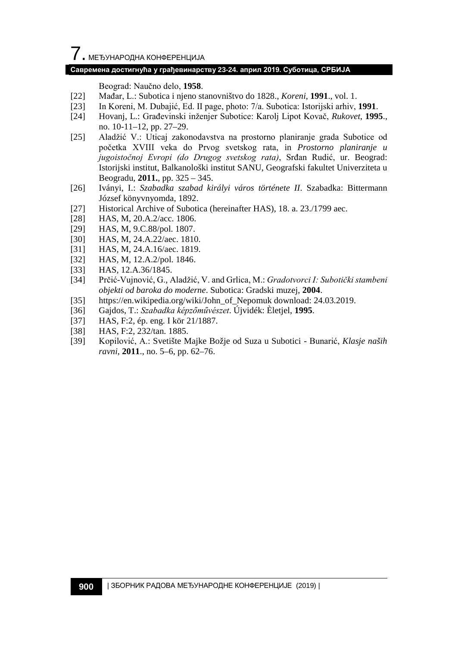#### **Савремена достигнућа у грађевинарству 23-24. април 2019. Суботица, СРБИЈА**

Beograd: Naučno delo, **1958**.

- [22] Mađar, L.: Subotica i njeno stanovništvo do 1828., *Koreni*, **1991**., vol. 1.
- [23] In Koreni, M. Dubajić, Ed. II page, photo: 7/a. Subotica: Istorijski arhiv, **1991**.
- [24] Hovanj, L.: Građevinski inženjer Subotice: Karolj Lipot Kovač, *Rukovet*, **1995**., no. 10-11–12, pp. 27–29.
- [25] Aladžić V.: Uticaj zakonodavstva na prostorno planiranje grada Subotice od početka XVIII veka do Prvog svetskog rata, in *Prostorno planiranje u jugoistočnoj Evropi (do Drugog svetskog rata)*, Srđan Rudić, ur. Beograd: Istorijski institut, Balkanološki institut SANU, Geografski fakultet Univerziteta u Beogradu, **2011.**, pp. 325 – 345.
- [26] Iványi, I.: *Szabadka szabad királyi város története II*. Szabadka: Bittermann József könyvnyomda, 1892.
- [27] Historical Archive of Subotica (hereinafter HAS), 18. a. 23./1799 aec.
- [28] HAS, M, 20.A.2/acc. 1806.
- [29] HAS, M, 9.C.88/pol. 1807.
- [30] HAS, M, 24.A.22/aec. 1810.
- [31] HAS, M, 24.A.16/aec. 1819.
- [32] HAS, M, 12.A.2/pol. 1846.
- [33] HAS, 12.A.36/1845.
- [34] Prčić-Vujnović, G., Aladžić, V. and Grlica, M.: *Gradotvorci I: Subotički stambeni objekti od baroka do moderne*. Subotica: Gradski muzej, **2004**.
- [35] https://en.wikipedia.org/wiki/John\_of\_Nepomuk download: 24.03.2019.
- [36] Gajdos, T.: *Szabadka képzőművészet*. Újvidék: Èletjel, **1995**.
- [37] HAS, F:2, ép. eng. I kör 21/1887.
- [38] HAS, F:2, 232/tan. 1885.
- [39] Kopilović, A.: Svetište Majke Božje od Suza u Subotici Bunarić, *Klasje naših ravni*, **2011**., no. 5–6, pp. 62–76.